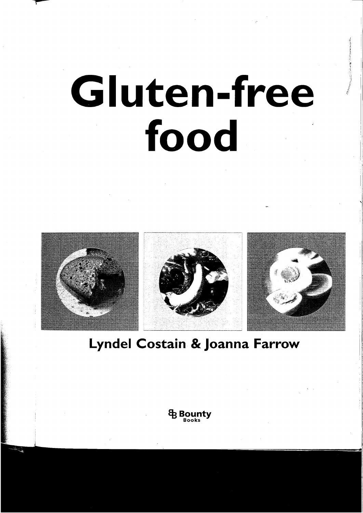# **Gluten-free food**



**Lyndel Costain & Joanna Farrow** 

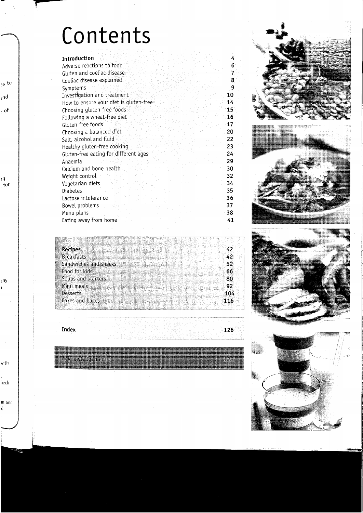## **Contents**

#### **Introduction**

| Introduction                           | 4  |
|----------------------------------------|----|
| Adverse reactions to food              | 6  |
| Gluten and coeliac disease             | 7  |
| Coeliac disease explained              | 8  |
| Symptoms                               | 9  |
| Investigation and treatment            | 10 |
| How to ensure your diet is gluten-free | 14 |
| Choosing gluten-free foods             | 15 |
| Following a wheat-free diet            | 16 |
| Gluten-free foods                      | 17 |
| Choosing a balanced diet               | 20 |
| Salt, alcohol and fluid                | 22 |
| Healthy gluten-free cooking            | 23 |
| Gluten-free eating for different ages  | 24 |
| Anaemia                                | 29 |
| Calcium and bone health                | 30 |
| Weight control                         | 32 |
| Vegetarian diets                       | 34 |
| Diabetes                               | 35 |
| Lactose intolerance                    | 36 |
| Bowel problems                         | 37 |
| Menu plans                             | 38 |
| Eating away from home                  | 41 |

122012456

| <b>Recipes</b>        | 42  |
|-----------------------|-----|
| <b>Breakfasts</b>     | 42  |
| Sandwiches and snacks | 52  |
| Food for kids         | 66  |
| Soups and starters    | 80  |
| Main meals            | 92  |
| Desserts              | 104 |
| Cakes and bakes       | 116 |
|                       |     |

**Index** 

:kroxledgenents

**126** 

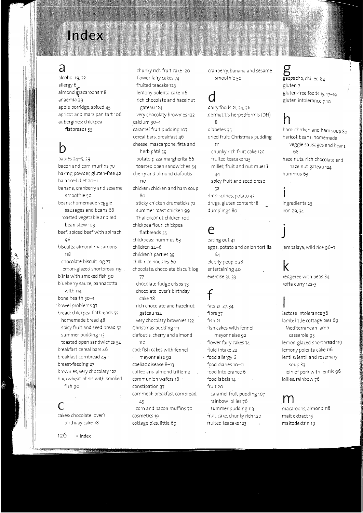### Index

### a

alcohol 19, 22 allergy 6 **,.** almond macaroons 118 anaemia 29 apple porridge, spiced 45 apricot and marzipan tart 106 aubergines: chickpea flatbreads 55

### b

babies 24-5,29 bacon and corn muffins 70 baking powder, gluten-free 42 balanced diet 20-1 banana, cranberry and sesame smoothie 50 beans: homemade veggie sausages and beans 68 roasted vegetable and red bean stew 103 beef: spiced beef with spinach 98 biscuits: almond macaroons 118 chocolate biscuit log 77 lemon-glazed shortbread 119 blinis with smoked fish 90 blueberry sauce, pannacotta with 114 bone health 30-1 . bowel problems 37 bread: chickpea flatbreads 55 homemade bread 48 spicy fruit and seed bread 52 summer pudding 113 toasted open sandwiches 54 breakfast cereal bars 46 breakfast cornbread 49 breast-feeding 27 brown ies, very chocolaty 122 buckwheat blinis with smoked fish 90

### c

cakes: chocolate lover's birthday cake 78

chunky rich fruit cake 120 flower fairy cakes 74 fruited teacake 123 lemony polenta cake 116 rich chocolate and hazelnut gateau 124 very chocolaty brownies 122 calcium 30-1 caramel fruit pudding 107 cereal bars, breakfast 46 cheese: mascarpone, feta and herb pâté 59 potato pizza margherita 66 toasted open sandwiches 54 cherry and almond clafoutis  $11<sub>0</sub>$ chicken: chicken and ham soup  $8<sub>0</sub>$ sticky chicken drumsticks 72 summer roast chicken 99 Thai coconut chicken 100 chickpea flour: chickpea flatbreads 55 chickpeas: hummus 63 children 24-6 children's parties 39 chilli rice noodles 60 chocolate: chocolate biscuit log 77 chocolate fudge crisps 73 chocolate lover's birthday cake 78 rich chocolate and hazelnut gateau 124 very chocolaty brownies 122 Christmas pudding <sup>111</sup> clafoutis, cherry and almond 110 cod: fish cakes with fennel mayonnaise 92 coeliac disease 8-13 coffee and almond trifle 112 communion wafers 18 constipation 37 cornmeal: breakfast corn bread, 49 corn and bacon muffins 70

cosmetics 19 cottage pies, little 69 cranberry, banana and sesame smoothie 50

### d

dairy foods 21, 34, 36 dermatitis herpetiformis (OH) 8 diabetes 35 dried fruit: Christmas pudding 111 chunky rich fruit cake 120 fruited teacake 123 millet, fruit and nut muesli  $\overline{A}$ spicy fruit and seed bread 52 drop scones, potato 42 drugs, gluten content 18

#### e

dumplings 80

eating out 41 eggs: potato and onion tortilla 64 elderly people 28 entertaining 40 exercise 31,33

### f

fats 21, 27, 34 fibre 37 fish 21 fish cakes with fennel mayonnaise 92 flower fairy cakes 74 fluid intake 22 food allergy 6 food diaries 10-11 food intolerance 6 food labels 14 fruit 20 caramel fruit pudding 107

rainbow lollies 76 summer pudding 113 fruit cake, chunky rich 120 fruited teacake 123

### g

gazpacho, chilled 84 gluten 7 gluten-free foods 15, 17-19 gluten intolerance 7, 10

### h

ham: chicken and ham soup 80 haricot beans: homemade veggie sausages and beans 68 hazelnuts: rich chocolate and hazelnut gateau 124 hummus 63

#### ingredients 23 iron 29,34

.

J jambalaya, wild rice 96-7

k kedgeree with peas 84 kofta curry 122-3

lactose intolerance 36 lamb: little cottage pies 69 Mediterranean lamb casserole 95 lemon-glazed shortbread 119 lemony polenta cake 116 lentils: lentil and rosemary soup 83 loin of pork with lentils 96 lollies, rainbow 76

#### m

macaroons, almond 118 malt extract 19 maltodextrin 19